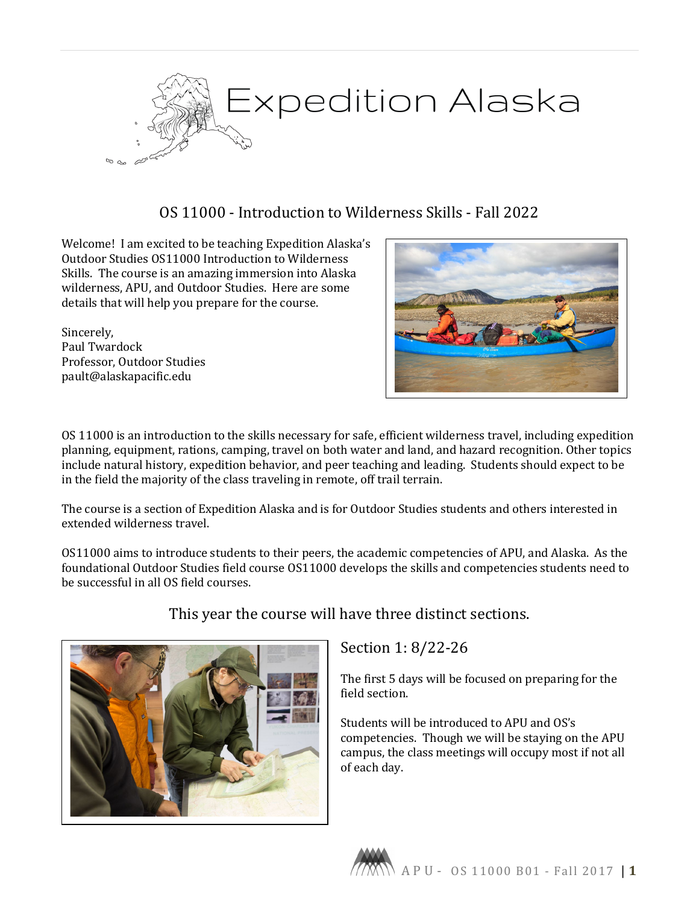

# OS 11000 - Introduction to Wilderness Skills - Fall 2022

Welcome! I am excited to be teaching Expedition Alaska's Outdoor Studies OS11000 Introduction to Wilderness Skills. The course is an amazing immersion into Alaska wilderness, APU, and Outdoor Studies. Here are some details that will help you prepare for the course.

Sincerely, Paul Twardock Professor, Outdoor Studies pault@alaskapacific.edu



OS 11000 is an introduction to the skills necessary for safe, efficient wilderness travel, including expedition planning, equipment, rations, camping, travel on both water and land, and hazard recognition. Other topics include natural history, expedition behavior, and peer teaching and leading. Students should expect to be in the field the majority of the class traveling in remote, off trail terrain.

The course is a section of Expedition Alaska and is for Outdoor Studies students and others interested in extended wilderness travel.

OS11000 aims to introduce students to their peers, the academic competencies of APU, and Alaska. As the foundational Outdoor Studies field course OS11000 develops the skills and competencies students need to be successful in all OS field courses.



## This year the course will have three distinct sections.

Section 1: 8/22-26

The first 5 days will be focused on preparing for the field section.

Students will be introduced to APU and OS's competencies. Though we will be staying on the APU campus, the class meetings will occupy most if not all of each day.